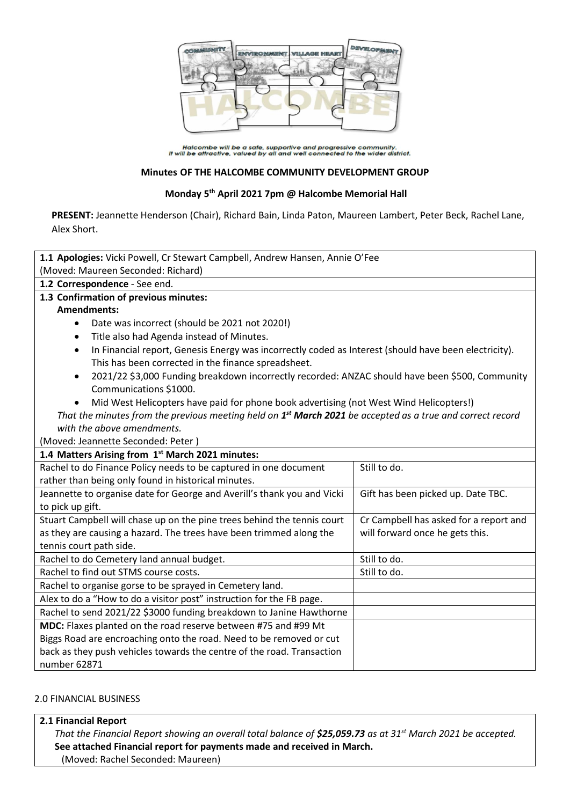

Halcombe will be a safe, supportive and progressive community.<br>It will be attractive, valued by all and well connected to the wider district.

#### **Minutes OF THE HALCOMBE COMMUNITY DEVELOPMENT GROUP**

### **Monday 5 th April 2021 7pm @ Halcombe Memorial Hall**

**PRESENT:** Jeannette Henderson (Chair), Richard Bain, Linda Paton, Maureen Lambert, Peter Beck, Rachel Lane, Alex Short.

| 1.1 Apologies: Vicki Powell, Cr Stewart Campbell, Andrew Hansen, Annie O'Fee                                           |                                        |  |
|------------------------------------------------------------------------------------------------------------------------|----------------------------------------|--|
| (Moved: Maureen Seconded: Richard)                                                                                     |                                        |  |
| 1.2 Correspondence - See end.                                                                                          |                                        |  |
| 1.3 Confirmation of previous minutes:                                                                                  |                                        |  |
| <b>Amendments:</b>                                                                                                     |                                        |  |
| Date was incorrect (should be 2021 not 2020!)<br>$\bullet$                                                             |                                        |  |
| Title also had Agenda instead of Minutes.<br>$\bullet$                                                                 |                                        |  |
| In Financial report, Genesis Energy was incorrectly coded as Interest (should have been electricity).<br>$\bullet$     |                                        |  |
| This has been corrected in the finance spreadsheet.                                                                    |                                        |  |
| 2021/22 \$3,000 Funding breakdown incorrectly recorded: ANZAC should have been \$500, Community<br>$\bullet$           |                                        |  |
| Communications \$1000.                                                                                                 |                                        |  |
| Mid West Helicopters have paid for phone book advertising (not West Wind Helicopters!)                                 |                                        |  |
| That the minutes from the previous meeting held on 1 <sup>st</sup> March 2021 be accepted as a true and correct record |                                        |  |
| with the above amendments.                                                                                             |                                        |  |
| (Moved: Jeannette Seconded: Peter)                                                                                     |                                        |  |
| 1.4 Matters Arising from 1st March 2021 minutes:                                                                       |                                        |  |
| Rachel to do Finance Policy needs to be captured in one document                                                       | Still to do.                           |  |
| rather than being only found in historical minutes.                                                                    |                                        |  |
| Jeannette to organise date for George and Averill's thank you and Vicki                                                | Gift has been picked up. Date TBC.     |  |
| to pick up gift.                                                                                                       |                                        |  |
| Stuart Campbell will chase up on the pine trees behind the tennis court                                                | Cr Campbell has asked for a report and |  |
| as they are causing a hazard. The trees have been trimmed along the                                                    | will forward once he gets this.        |  |
| tennis court path side.                                                                                                |                                        |  |
| Rachel to do Cemetery land annual budget.                                                                              | Still to do.                           |  |
| Rachel to find out STMS course costs.                                                                                  | Still to do.                           |  |
| Rachel to organise gorse to be sprayed in Cemetery land.                                                               |                                        |  |
| Alex to do a "How to do a visitor post" instruction for the FB page.                                                   |                                        |  |
| Rachel to send 2021/22 \$3000 funding breakdown to Janine Hawthorne                                                    |                                        |  |
| MDC: Flaxes planted on the road reserve between #75 and #99 Mt                                                         |                                        |  |
| Biggs Road are encroaching onto the road. Need to be removed or cut                                                    |                                        |  |
| back as they push vehicles towards the centre of the road. Transaction                                                 |                                        |  |
| number 62871                                                                                                           |                                        |  |

#### 2.0 FINANCIAL BUSINESS

#### **2.1 Financial Report**

*That the Financial Report showing an overall total balance of \$25,059.73 as at 31st March 2021 be accepted.* **See attached Financial report for payments made and received in March.** (Moved: Rachel Seconded: Maureen)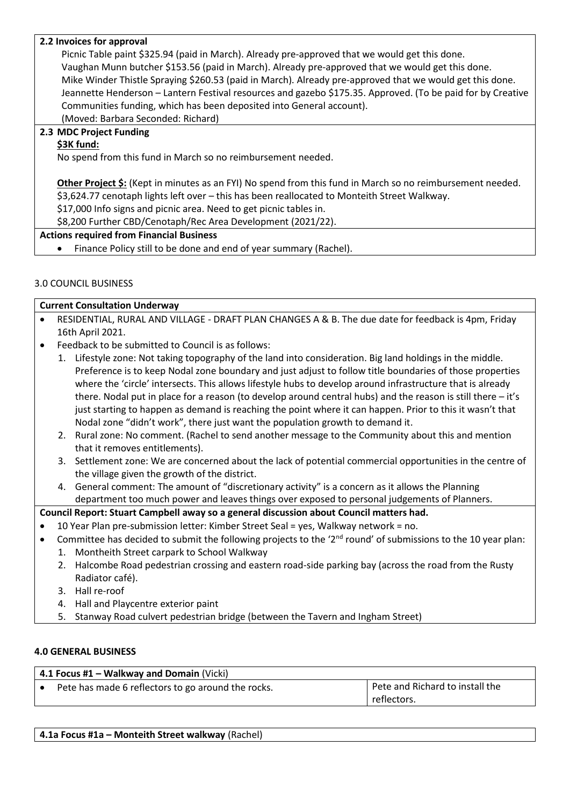## **2.2 Invoices for approval**

Picnic Table paint \$325.94 (paid in March). Already pre-approved that we would get this done. Vaughan Munn butcher \$153.56 (paid in March). Already pre-approved that we would get this done. Mike Winder Thistle Spraying \$260.53 (paid in March). Already pre-approved that we would get this done. Jeannette Henderson – Lantern Festival resources and gazebo \$175.35. Approved. (To be paid for by Creative Communities funding, which has been deposited into General account). (Moved: Barbara Seconded: Richard)

**2.3 MDC Project Funding**

# **\$3K fund:**

No spend from this fund in March so no reimbursement needed.

**Other Project \$:** (Kept in minutes as an FYI) No spend from this fund in March so no reimbursement needed. \$3,624.77 cenotaph lights left over – this has been reallocated to Monteith Street Walkway.

\$17,000 Info signs and picnic area. Need to get picnic tables in.

\$8,200 Further CBD/Cenotaph/Rec Area Development (2021/22).

#### **Actions required from Financial Business**

• Finance Policy still to be done and end of year summary (Rachel).

## 3.0 COUNCIL BUSINESS

|           | <b>Current Consultation Underway</b>                                                                |
|-----------|-----------------------------------------------------------------------------------------------------|
| $\bullet$ | RESIDENTIAL, RURAL AND VILLAGE - DRAFT PLAN CHANGES A & B. The due date for feedback is 4pm, Friday |
|           | 16th April 2021.                                                                                    |

- Feedback to be submitted to Council is as follows:
	- 1. Lifestyle zone: Not taking topography of the land into consideration. Big land holdings in the middle. Preference is to keep Nodal zone boundary and just adjust to follow title boundaries of those properties where the 'circle' intersects. This allows lifestyle hubs to develop around infrastructure that is already there. Nodal put in place for a reason (to develop around central hubs) and the reason is still there – it's just starting to happen as demand is reaching the point where it can happen. Prior to this it wasn't that Nodal zone "didn't work", there just want the population growth to demand it.
	- 2. Rural zone: No comment. (Rachel to send another message to the Community about this and mention that it removes entitlements).
	- 3. Settlement zone: We are concerned about the lack of potential commercial opportunities in the centre of the village given the growth of the district.
	- 4. General comment: The amount of "discretionary activity" is a concern as it allows the Planning department too much power and leaves things over exposed to personal judgements of Planners.

## **Council Report: Stuart Campbell away so a general discussion about Council matters had.**

- 10 Year Plan pre-submission letter: Kimber Street Seal = yes, Walkway network = no.
- Committee has decided to submit the following projects to the '2<sup>nd</sup> round' of submissions to the 10 year plan:
	- 1. Montheith Street carpark to School Walkway
	- 2. Halcombe Road pedestrian crossing and eastern road-side parking bay (across the road from the Rusty Radiator café).
	- 3. Hall re-roof
	- 4. Hall and Playcentre exterior paint
	- 5. Stanway Road culvert pedestrian bridge (between the Tavern and Ingham Street)

#### **4.0 GENERAL BUSINESS**

| $\vert$ 4.1 Focus #1 – Walkway and Domain (Vicki)  |                                 |  |
|----------------------------------------------------|---------------------------------|--|
| Pete has made 6 reflectors to go around the rocks. | Pete and Richard to install the |  |
|                                                    | reflectors.                     |  |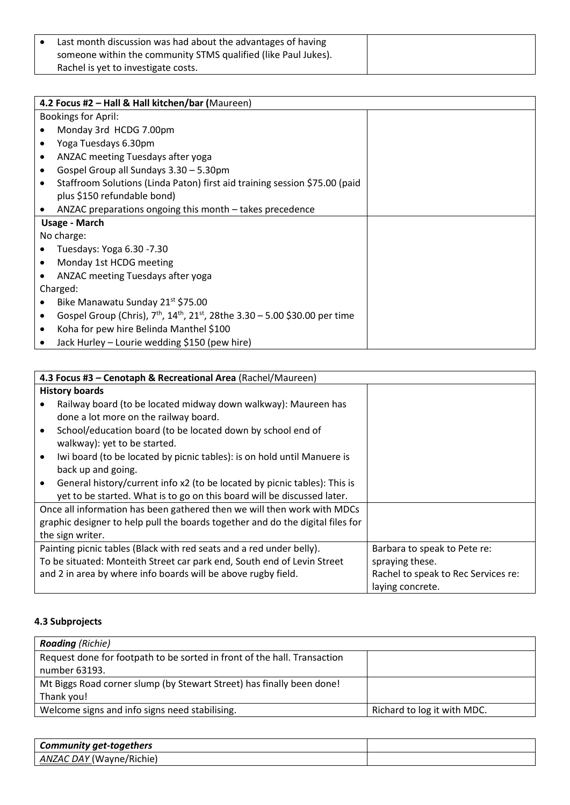| Last month discussion was had about the advantages of having   |
|----------------------------------------------------------------|
| someone within the community STMS qualified (like Paul Jukes). |
| Rachel is yet to investigate costs.                            |

|   | 4.2 Focus #2 - Hall & Hall kitchen/bar (Maureen)                                                                 |  |  |
|---|------------------------------------------------------------------------------------------------------------------|--|--|
|   | <b>Bookings for April:</b>                                                                                       |  |  |
|   | Monday 3rd HCDG 7.00pm                                                                                           |  |  |
|   | Yoga Tuesdays 6.30pm                                                                                             |  |  |
| ٠ | ANZAC meeting Tuesdays after yoga                                                                                |  |  |
|   | Gospel Group all Sundays 3.30 - 5.30pm                                                                           |  |  |
|   | Staffroom Solutions (Linda Paton) first aid training session \$75.00 (paid                                       |  |  |
|   | plus \$150 refundable bond)                                                                                      |  |  |
|   | ANZAC preparations ongoing this month – takes precedence                                                         |  |  |
|   | Usage - March                                                                                                    |  |  |
|   | No charge:                                                                                                       |  |  |
|   | Tuesdays: Yoga 6.30 - 7.30                                                                                       |  |  |
|   | Monday 1st HCDG meeting                                                                                          |  |  |
|   | ANZAC meeting Tuesdays after yoga                                                                                |  |  |
|   | Charged:                                                                                                         |  |  |
|   | Bike Manawatu Sunday 21st \$75.00                                                                                |  |  |
|   | Gospel Group (Chris), 7 <sup>th</sup> , 14 <sup>th</sup> , 21 <sup>st</sup> , 28the 3.30 - 5.00 \$30.00 per time |  |  |
|   | Koha for pew hire Belinda Manthel \$100                                                                          |  |  |
|   | Jack Hurley – Lourie wedding \$150 (pew hire)                                                                    |  |  |

|                  | 4.3 Focus #3 - Cenotaph & Recreational Area (Rachel/Maureen)                                                                                         |                                                         |  |
|------------------|------------------------------------------------------------------------------------------------------------------------------------------------------|---------------------------------------------------------|--|
|                  | <b>History boards</b>                                                                                                                                |                                                         |  |
|                  | Railway board (to be located midway down walkway): Maureen has<br>done a lot more on the railway board.                                              |                                                         |  |
|                  | School/education board (to be located down by school end of<br>walkway): yet to be started.                                                          |                                                         |  |
| $\bullet$        | Iwi board (to be located by picnic tables): is on hold until Manuere is                                                                              |                                                         |  |
|                  | back up and going.                                                                                                                                   |                                                         |  |
|                  | General history/current info x2 (to be located by picnic tables): This is<br>yet to be started. What is to go on this board will be discussed later. |                                                         |  |
|                  | Once all information has been gathered then we will then work with MDCs                                                                              |                                                         |  |
|                  | graphic designer to help pull the boards together and do the digital files for                                                                       |                                                         |  |
| the sign writer. |                                                                                                                                                      |                                                         |  |
|                  | Painting picnic tables (Black with red seats and a red under belly).                                                                                 | Barbara to speak to Pete re:                            |  |
|                  | To be situated: Monteith Street car park end, South end of Levin Street                                                                              | spraying these.                                         |  |
|                  | and 2 in area by where info boards will be above rugby field.                                                                                        | Rachel to speak to Rec Services re:<br>laying concrete. |  |

# **4.3 Subprojects**

| <b>Roading</b> (Richie)                                                  |                             |
|--------------------------------------------------------------------------|-----------------------------|
| Request done for footpath to be sorted in front of the hall. Transaction |                             |
| number 63193.                                                            |                             |
| Mt Biggs Road corner slump (by Stewart Street) has finally been done!    |                             |
| Thank you!                                                               |                             |
| Welcome signs and info signs need stabilising.                           | Richard to log it with MDC. |

| Community get-togethers         |  |
|---------------------------------|--|
| <b>ANZAC DAY</b> (Wayne/Richie) |  |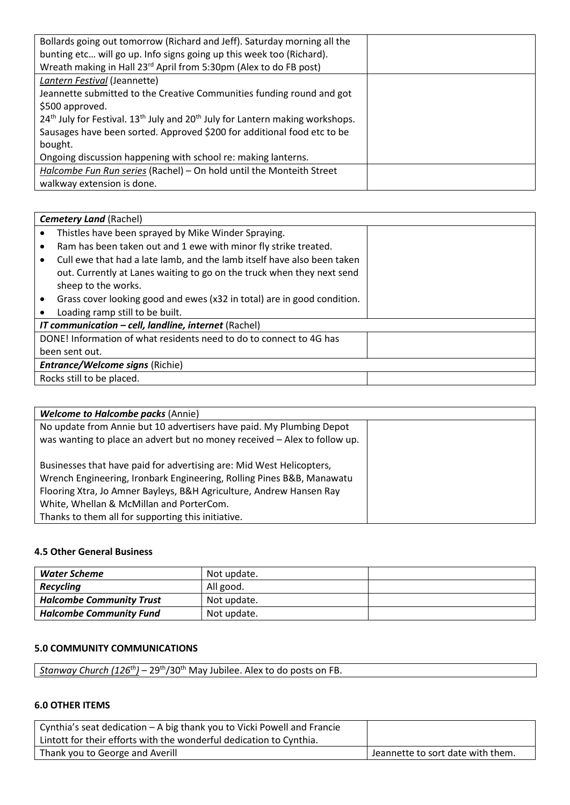| Bollards going out tomorrow (Richard and Jeff). Saturday morning all the                                          |  |
|-------------------------------------------------------------------------------------------------------------------|--|
| bunting etc will go up. Info signs going up this week too (Richard).                                              |  |
| Wreath making in Hall 23 <sup>rd</sup> April from 5:30pm (Alex to do FB post)                                     |  |
| Lantern Festival (Jeannette)                                                                                      |  |
| Jeannette submitted to the Creative Communities funding round and got                                             |  |
| \$500 approved.                                                                                                   |  |
| 24 <sup>th</sup> July for Festival. 13 <sup>th</sup> July and 20 <sup>th</sup> July for Lantern making workshops. |  |
| Sausages have been sorted. Approved \$200 for additional food etc to be                                           |  |
| bought.                                                                                                           |  |
| Ongoing discussion happening with school re: making lanterns.                                                     |  |
| Halcombe Fun Run series (Rachel) - On hold until the Monteith Street                                              |  |
| walkway extension is done.                                                                                        |  |

|                                                      | <b>Cemetery Land (Rachel)</b>                                           |  |  |
|------------------------------------------------------|-------------------------------------------------------------------------|--|--|
|                                                      | Thistles have been sprayed by Mike Winder Spraying.                     |  |  |
|                                                      | Ram has been taken out and 1 ewe with minor fly strike treated.         |  |  |
|                                                      | Cull ewe that had a late lamb, and the lamb itself have also been taken |  |  |
|                                                      | out. Currently at Lanes waiting to go on the truck when they next send  |  |  |
|                                                      | sheep to the works.                                                     |  |  |
|                                                      | Grass cover looking good and ewes (x32 in total) are in good condition. |  |  |
|                                                      | Loading ramp still to be built.                                         |  |  |
| IT communication - cell, landline, internet (Rachel) |                                                                         |  |  |
|                                                      | DONE! Information of what residents need to do to connect to 4G has     |  |  |
|                                                      | been sent out.                                                          |  |  |
|                                                      | <b>Entrance/Welcome signs (Richie)</b>                                  |  |  |
|                                                      | Rocks still to be placed.                                               |  |  |

| <b>Welcome to Halcombe packs (Annie)</b>                                  |  |
|---------------------------------------------------------------------------|--|
| No update from Annie but 10 advertisers have paid. My Plumbing Depot      |  |
| was wanting to place an advert but no money received - Alex to follow up. |  |
| Businesses that have paid for advertising are: Mid West Helicopters,      |  |
| Wrench Engineering, Ironbark Engineering, Rolling Pines B&B, Manawatu     |  |
| Flooring Xtra, Jo Amner Bayleys, B&H Agriculture, Andrew Hansen Ray       |  |
| White, Whellan & McMillan and PorterCom.                                  |  |
| Thanks to them all for supporting this initiative.                        |  |

## **4.5 Other General Business**

| Water Scheme                    | Not update. |  |
|---------------------------------|-------------|--|
| <b>Recycling</b>                | All good.   |  |
| <b>Halcombe Community Trust</b> | Not update. |  |
| <b>Halcombe Community Fund</b>  | Not update. |  |

## **5.0 COMMUNITY COMMUNICATIONS**

|  | - 29 <sup>th</sup> /30 <sup>th</sup> May Jubilee. Alex to do posts on FB.<br>Stanway Church (126 <sup>th</sup> )<br>$\overline{\phantom{0}}$ |  |
|--|----------------------------------------------------------------------------------------------------------------------------------------------|--|
|--|----------------------------------------------------------------------------------------------------------------------------------------------|--|

## **6.0 OTHER ITEMS**

| Cynthia's seat dedication – A big thank you to Vicki Powell and Francie<br>Lintott for their efforts with the wonderful dedication to Cynthia. |                                   |
|------------------------------------------------------------------------------------------------------------------------------------------------|-----------------------------------|
| Thank you to George and Averill                                                                                                                | Jeannette to sort date with them. |